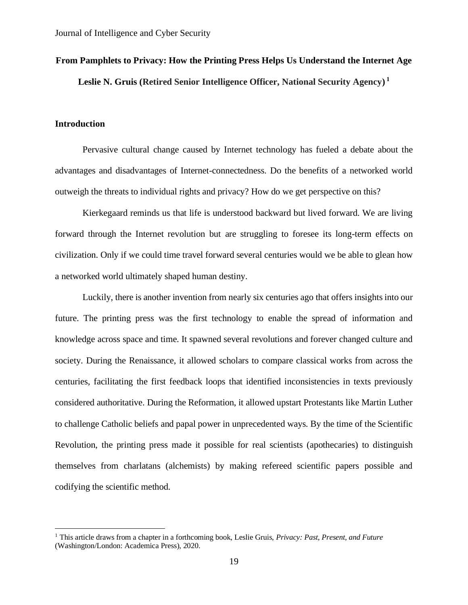# **From Pamphlets to Privacy: How the Printing Press Helps Us Understand the Internet Age Leslie N. Gruis (Retired Senior Intelligence Officer, National Security Agency) 1**

# **Introduction**

Pervasive cultural change caused by Internet technology has fueled a debate about the advantages and disadvantages of Internet-connectedness. Do the benefits of a networked world outweigh the threats to individual rights and privacy? How do we get perspective on this?

Kierkegaard reminds us that life is understood backward but lived forward. We are living forward through the Internet revolution but are struggling to foresee its long-term effects on civilization. Only if we could time travel forward several centuries would we be able to glean how a networked world ultimately shaped human destiny.

Luckily, there is another invention from nearly six centuries ago that offers insights into our future. The printing press was the first technology to enable the spread of information and knowledge across space and time. It spawned several revolutions and forever changed culture and society. During the Renaissance, it allowed scholars to compare classical works from across the centuries, facilitating the first feedback loops that identified inconsistencies in texts previously considered authoritative. During the Reformation, it allowed upstart Protestants like Martin Luther to challenge Catholic beliefs and papal power in unprecedented ways. By the time of the Scientific Revolution, the printing press made it possible for real scientists (apothecaries) to distinguish themselves from charlatans (alchemists) by making refereed scientific papers possible and codifying the scientific method.

<sup>1</sup> This article draws from a chapter in a forthcoming book, Leslie Gruis, *Privacy: Past, Present, and Future* (Washington/London: Academica Press), 2020.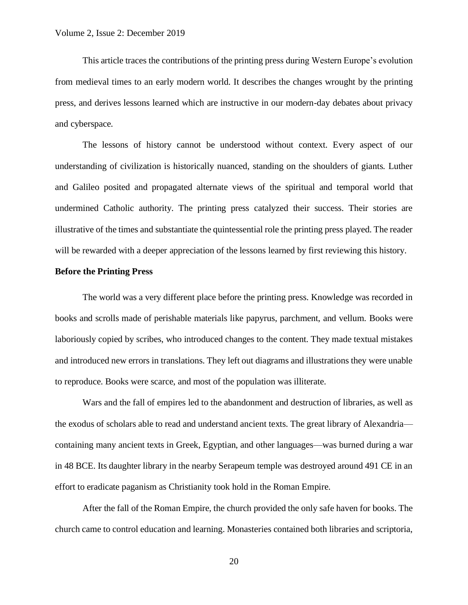This article traces the contributions of the printing press during Western Europe's evolution from medieval times to an early modern world. It describes the changes wrought by the printing press, and derives lessons learned which are instructive in our modern-day debates about privacy and cyberspace.

The lessons of history cannot be understood without context. Every aspect of our understanding of civilization is historically nuanced, standing on the shoulders of giants. Luther and Galileo posited and propagated alternate views of the spiritual and temporal world that undermined Catholic authority. The printing press catalyzed their success. Their stories are illustrative of the times and substantiate the quintessential role the printing press played. The reader will be rewarded with a deeper appreciation of the lessons learned by first reviewing this history.

#### **Before the Printing Press**

The world was a very different place before the printing press. Knowledge was recorded in books and scrolls made of perishable materials like papyrus, parchment, and vellum. Books were laboriously copied by scribes, who introduced changes to the content. They made textual mistakes and introduced new errors in translations. They left out diagrams and illustrations they were unable to reproduce. Books were scarce, and most of the population was illiterate.

Wars and the fall of empires led to the abandonment and destruction of libraries, as well as the exodus of scholars able to read and understand ancient texts. The great library of Alexandria containing many ancient texts in Greek, Egyptian, and other languages—was burned during a war in 48 BCE. Its daughter library in the nearby Serapeum temple was destroyed around 491 CE in an effort to eradicate paganism as Christianity took hold in the Roman Empire.

After the fall of the Roman Empire, the church provided the only safe haven for books. The church came to control education and learning. Monasteries contained both libraries and scriptoria,

20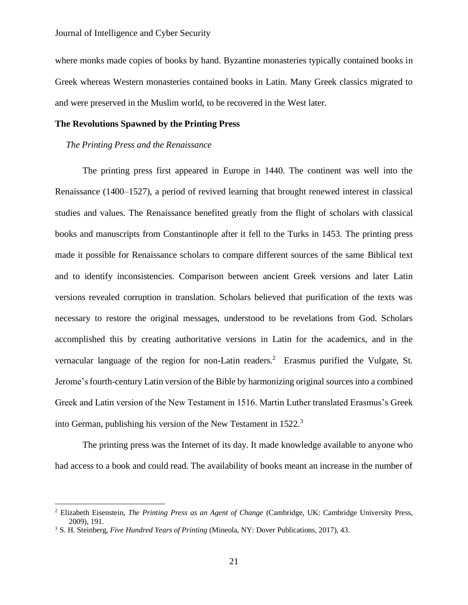where monks made copies of books by hand. Byzantine monasteries typically contained books in Greek whereas Western monasteries contained books in Latin. Many Greek classics migrated to and were preserved in the Muslim world, to be recovered in the West later.

# **The Revolutions Spawned by the Printing Press**

#### *The Printing Press and the Renaissance*

The printing press first appeared in Europe in 1440. The continent was well into the Renaissance (1400–1527), a period of revived learning that brought renewed interest in classical studies and values. The Renaissance benefited greatly from the flight of scholars with classical books and manuscripts from Constantinople after it fell to the Turks in 1453. The printing press made it possible for Renaissance scholars to compare different sources of the same Biblical text and to identify inconsistencies. Comparison between ancient Greek versions and later Latin versions revealed corruption in translation. Scholars believed that purification of the texts was necessary to restore the original messages, understood to be revelations from God. Scholars accomplished this by creating authoritative versions in Latin for the academics, and in the vernacular language of the region for non-Latin readers.<sup>2</sup> Erasmus purified the Vulgate, St. Jerome's fourth-century Latin version of the Bible by harmonizing original sources into a combined Greek and Latin version of the New Testament in 1516. Martin Luther translated Erasmus's Greek into German, publishing his version of the New Testament in 1522.<sup>3</sup>

The printing press was the Internet of its day. It made knowledge available to anyone who had access to a book and could read. The availability of books meant an increase in the number of

<sup>2</sup> Elizabeth Eisenstein, *The Printing Press as an Agent of Change* (Cambridge, UK: Cambridge University Press, 2009), 191.

<sup>3</sup> S. H. Steinberg, *Five Hundred Years of Printing* (Mineola, NY: Dover Publications, 2017), 43.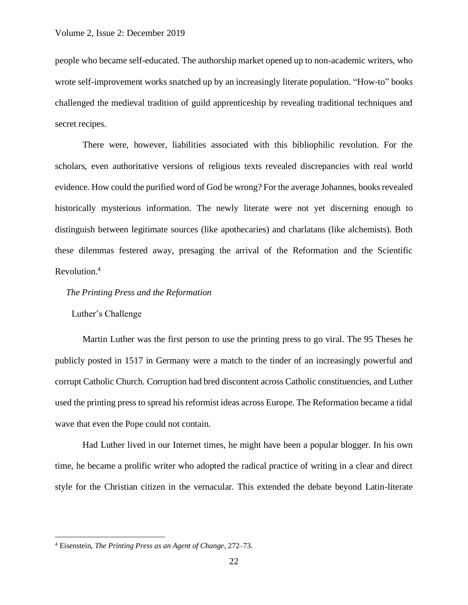people who became self-educated. The authorship market opened up to non-academic writers, who wrote self-improvement works snatched up by an increasingly literate population. "How-to" books challenged the medieval tradition of guild apprenticeship by revealing traditional techniques and secret recipes.

There were, however, liabilities associated with this bibliophilic revolution. For the scholars, even authoritative versions of religious texts revealed discrepancies with real world evidence. How could the purified word of God be wrong? For the average Johannes, books revealed historically mysterious information. The newly literate were not yet discerning enough to distinguish between legitimate sources (like apothecaries) and charlatans (like alchemists). Both these dilemmas festered away, presaging the arrival of the Reformation and the Scientific Revolution.<sup>4</sup>

# *The Printing Press and the Reformation*

Luther's Challenge

Martin Luther was the first person to use the printing press to go viral. The 95 Theses he publicly posted in 1517 in Germany were a match to the tinder of an increasingly powerful and corrupt Catholic Church. Corruption had bred discontent across Catholic constituencies, and Luther used the printing press to spread his reformist ideas across Europe. The Reformation became a tidal wave that even the Pope could not contain.

Had Luther lived in our Internet times, he might have been a popular blogger. In his own time, he became a prolific writer who adopted the radical practice of writing in a clear and direct style for the Christian citizen in the vernacular. This extended the debate beyond Latin-literate

<sup>4</sup> Eisenstein, *The Printing Press as an Agent of Change*, 272–73.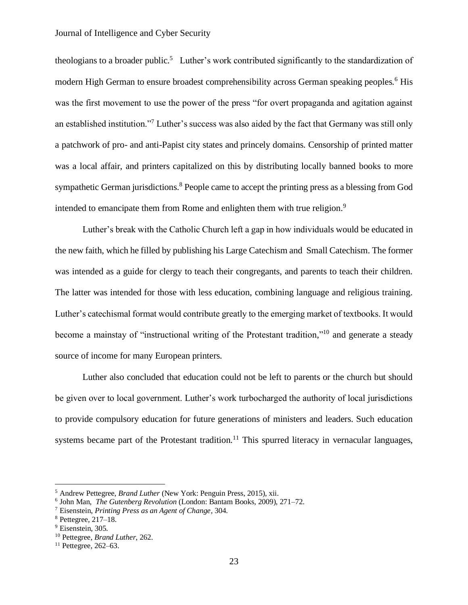theologians to a broader public.<sup>5</sup> Luther's work contributed significantly to the standardization of modern High German to ensure broadest comprehensibility across German speaking peoples.<sup>6</sup> His was the first movement to use the power of the press "for overt propaganda and agitation against an established institution."<sup>7</sup> Luther's success was also aided by the fact that Germany was still only a patchwork of pro- and anti-Papist city states and princely domains. Censorship of printed matter was a local affair, and printers capitalized on this by distributing locally banned books to more sympathetic German jurisdictions.<sup>8</sup> People came to accept the printing press as a blessing from God intended to emancipate them from Rome and enlighten them with true religion.<sup>9</sup>

Luther's break with the Catholic Church left a gap in how individuals would be educated in the new faith, which he filled by publishing his Large Catechism and Small Catechism. The former was intended as a guide for clergy to teach their congregants, and parents to teach their children. The latter was intended for those with less education, combining language and religious training. Luther's catechismal format would contribute greatly to the emerging market of textbooks. It would become a mainstay of "instructional writing of the Protestant tradition,"<sup>10</sup> and generate a steady source of income for many European printers.

Luther also concluded that education could not be left to parents or the church but should be given over to local government. Luther's work turbocharged the authority of local jurisdictions to provide compulsory education for future generations of ministers and leaders. Such education systems became part of the Protestant tradition.<sup>11</sup> This spurred literacy in vernacular languages,

<sup>5</sup> Andrew Pettegree, *Brand Luther* (New York: Penguin Press, 2015), xii.

<sup>6</sup> John Man, *The Gutenberg Revolution* (London: Bantam Books, 2009), 271–72.

<sup>7</sup> Eisenstein, *Printing Press as an Agent of Change*, 304.

<sup>8</sup> Pettegree, 217–18.

<sup>&</sup>lt;sup>9</sup> Eisenstein, 305.

<sup>10</sup> Pettegree, *Brand Luther*, 262.

 $11$  Pettegree, 262–63.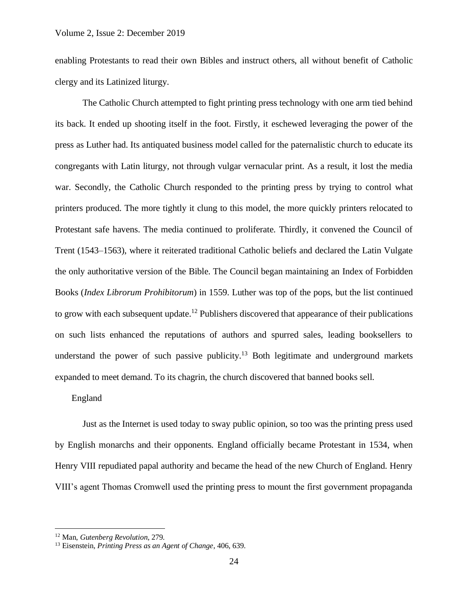enabling Protestants to read their own Bibles and instruct others, all without benefit of Catholic clergy and its Latinized liturgy.

The Catholic Church attempted to fight printing press technology with one arm tied behind its back. It ended up shooting itself in the foot. Firstly, it eschewed leveraging the power of the press as Luther had. Its antiquated business model called for the paternalistic church to educate its congregants with Latin liturgy, not through vulgar vernacular print. As a result, it lost the media war. Secondly, the Catholic Church responded to the printing press by trying to control what printers produced. The more tightly it clung to this model, the more quickly printers relocated to Protestant safe havens. The media continued to proliferate. Thirdly, it convened the Council of Trent (1543–1563), where it reiterated traditional Catholic beliefs and declared the Latin Vulgate the only authoritative version of the Bible. The Council began maintaining an Index of Forbidden Books (*Index Librorum Prohibitorum*) in 1559. Luther was top of the pops, but the list continued to grow with each subsequent update.<sup>12</sup> Publishers discovered that appearance of their publications on such lists enhanced the reputations of authors and spurred sales, leading booksellers to understand the power of such passive publicity.<sup>13</sup> Both legitimate and underground markets expanded to meet demand. To its chagrin, the church discovered that banned books sell.

## England

Just as the Internet is used today to sway public opinion, so too was the printing press used by English monarchs and their opponents. England officially became Protestant in 1534, when Henry VIII repudiated papal authority and became the head of the new Church of England. Henry VIII's agent Thomas Cromwell used the printing press to mount the first government propaganda

<sup>12</sup> Man, *Gutenberg Revolution*, 279.

<sup>13</sup> Eisenstein, *Printing Press as an Agent of Change*, 406, 639.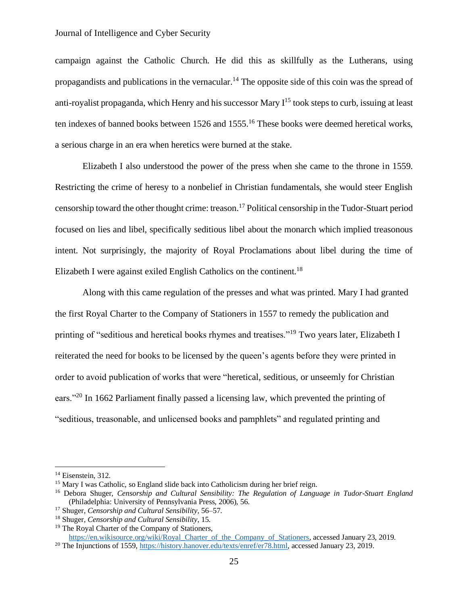campaign against the Catholic Church. He did this as skillfully as the Lutherans, using propagandists and publications in the vernacular.<sup>14</sup> The opposite side of this coin was the spread of anti-royalist propaganda, which Henry and his successor Mary  $I^{15}$  took steps to curb, issuing at least ten indexes of banned books between 1526 and 1555.<sup>16</sup> These books were deemed heretical works, a serious charge in an era when heretics were burned at the stake.

Elizabeth I also understood the power of the press when she came to the throne in 1559. Restricting the crime of heresy to a nonbelief in Christian fundamentals, she would steer English censorship toward the other thought crime: treason.<sup>17</sup> Political censorship in the Tudor-Stuart period focused on lies and libel, specifically seditious libel about the monarch which implied treasonous intent. Not surprisingly, the majority of Royal Proclamations about libel during the time of Elizabeth I were against exiled English Catholics on the continent.<sup>18</sup>

Along with this came regulation of the presses and what was printed. Mary I had granted the first Royal Charter to the Company of Stationers in 1557 to remedy the publication and printing of "seditious and heretical books rhymes and treatises."<sup>19</sup> Two years later, Elizabeth I reiterated the need for books to be licensed by the queen's agents before they were printed in order to avoid publication of works that were "heretical, seditious, or unseemly for Christian ears."<sup>20</sup> In 1662 Parliament finally passed a licensing law, which prevented the printing of "seditious, treasonable, and unlicensed books and pamphlets" and regulated printing and

<sup>&</sup>lt;sup>14</sup> Eisenstein, 312.

<sup>&</sup>lt;sup>15</sup> Mary I was Catholic, so England slide back into Catholicism during her brief reign.

<sup>16</sup> Debora Shuger, *Censorship and Cultural Sensibility: The Regulation of Language in Tudor-Stuart England* (Philadelphia: University of Pennsylvania Press, 2006), 56.

<sup>17</sup> Shuger, *Censorship and Cultural Sensibility*, 56–57.

<sup>18</sup> Shuger, *Censorship and Cultural Sensibility*, 15.

<sup>&</sup>lt;sup>19</sup> The Royal Charter of the Company of Stationers, [https://en.wikisource.org/wiki/Royal\\_Charter\\_of\\_the\\_Company\\_of\\_Stationers,](https://en.wikisource.org/wiki/Royal_Charter_of_the_Company_of_Stationers) accessed January 23, 2019.

<sup>20</sup> The Injunctions of 1559[, https://history.hanover.edu/texts/enref/er78.html,](https://history.hanover.edu/texts/enref/er78.html) accessed January 23, 2019.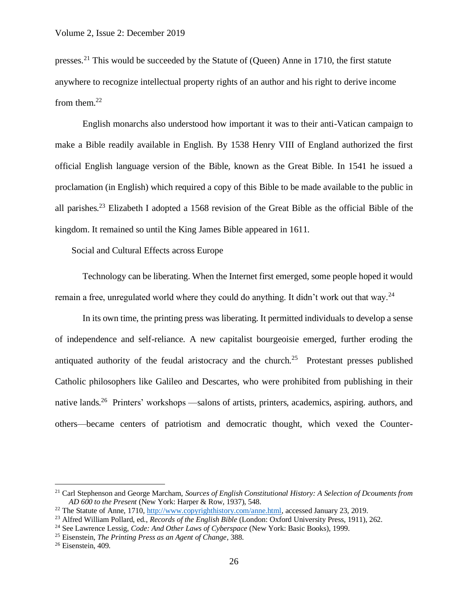presses.<sup>21</sup> This would be succeeded by the Statute of (Queen) Anne in 1710, the first statute anywhere to recognize intellectual property rights of an author and his right to derive income from them.<sup>22</sup>

English monarchs also understood how important it was to their anti-Vatican campaign to make a Bible readily available in English. By 1538 Henry VIII of England authorized the first official English language version of the Bible, known as the Great Bible. In 1541 he issued a proclamation (in English) which required a copy of this Bible to be made available to the public in all parishes.<sup>23</sup> Elizabeth I adopted a 1568 revision of the Great Bible as the official Bible of the kingdom. It remained so until the King James Bible appeared in 1611.

Social and Cultural Effects across Europe

Technology can be liberating. When the Internet first emerged, some people hoped it would remain a free, unregulated world where they could do anything. It didn't work out that way.<sup>24</sup>

In its own time, the printing press was liberating. It permitted individuals to develop a sense of independence and self-reliance. A new capitalist bourgeoisie emerged, further eroding the antiquated authority of the feudal aristocracy and the church.<sup>25</sup> Protestant presses published Catholic philosophers like Galileo and Descartes, who were prohibited from publishing in their native lands.<sup>26</sup> Printers' workshops —salons of artists, printers, academics, aspiring. authors, and others—became centers of patriotism and democratic thought, which vexed the Counter-

<sup>21</sup> Carl Stephenson and George Marcham, *Sources of English Constitutional History: A Selection of Dcouments from AD 600 to the Present* (New York: Harper & Row, 1937), 548.

<sup>&</sup>lt;sup>22</sup> The Statute of Anne, 1710, [http://www.copyrighthistory.com/anne.html,](http://www.copyrighthistory.com/anne.html) accessed January 23, 2019.

<sup>23</sup> Alfred William Pollard, ed., *Records of the English Bible* (London: Oxford University Press, 1911), 262.

<sup>24</sup> See Lawrence Lessig, *Code: And Other Laws of Cyberspace* (New York: Basic Books), 1999.

<sup>25</sup> Eisenstein, *The Printing Press as an Agent of Change*, 388.

<sup>26</sup> Eisenstein, 409.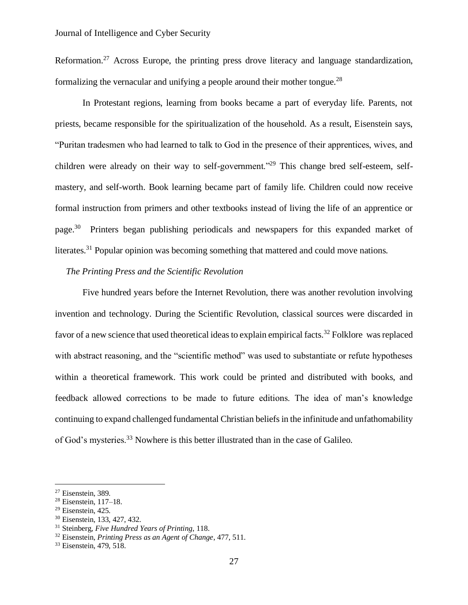Reformation.<sup>27</sup> Across Europe, the printing press drove literacy and language standardization, formalizing the vernacular and unifying a people around their mother tongue.<sup>28</sup>

In Protestant regions, learning from books became a part of everyday life. Parents, not priests, became responsible for the spiritualization of the household. As a result, Eisenstein says, "Puritan tradesmen who had learned to talk to God in the presence of their apprentices, wives, and children were already on their way to self-government."<sup>29</sup> This change bred self-esteem, selfmastery, and self-worth. Book learning became part of family life. Children could now receive formal instruction from primers and other textbooks instead of living the life of an apprentice or page.<sup>30</sup> Printers began publishing periodicals and newspapers for this expanded market of literates.<sup>31</sup> Popular opinion was becoming something that mattered and could move nations.

#### *The Printing Press and the Scientific Revolution*

Five hundred years before the Internet Revolution, there was another revolution involving invention and technology. During the Scientific Revolution, classical sources were discarded in favor of a new science that used theoretical ideas to explain empirical facts.<sup>32</sup> Folklore was replaced with abstract reasoning, and the "scientific method" was used to substantiate or refute hypotheses within a theoretical framework. This work could be printed and distributed with books, and feedback allowed corrections to be made to future editions. The idea of man's knowledge continuing to expand challenged fundamental Christian beliefs in the infinitude and unfathomability of God's mysteries.<sup>33</sup> Nowhere is this better illustrated than in the case of Galileo.

<sup>27</sup> Eisenstein, 389.

<sup>28</sup> Eisenstein, 117–18.

 $29$  Eisenstein, 425.

<sup>30</sup> Eisenstein, 133, 427, 432.

<sup>31</sup> Steinberg, *Five Hundred Years of Printing*, 118.

<sup>32</sup> Eisenstein, *Printing Press as an Agent of Change*, 477, 511.

<sup>&</sup>lt;sup>33</sup> Eisenstein, 479, 518.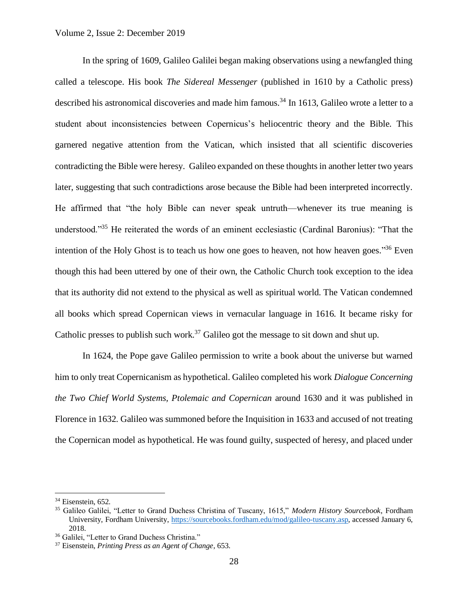#### Volume 2, Issue 2: December 2019

In the spring of 1609, Galileo Galilei began making observations using a newfangled thing called a telescope. His book *The Sidereal Messenger* (published in 1610 by a Catholic press) described his astronomical discoveries and made him famous.<sup>34</sup> In 1613, Galileo wrote a letter to a student about inconsistencies between Copernicus's heliocentric theory and the Bible. This garnered negative attention from the Vatican, which insisted that all scientific discoveries contradicting the Bible were heresy. Galileo expanded on these thoughts in another letter two years later, suggesting that such contradictions arose because the Bible had been interpreted incorrectly. He affirmed that "the holy Bible can never speak untruth—whenever its true meaning is understood."<sup>35</sup> He reiterated the words of an eminent ecclesiastic (Cardinal Baronius): "That the intention of the Holy Ghost is to teach us how one goes to heaven, not how heaven goes."<sup>36</sup> Even though this had been uttered by one of their own, the Catholic Church took exception to the idea that its authority did not extend to the physical as well as spiritual world. The Vatican condemned all books which spread Copernican views in vernacular language in 1616. It became risky for Catholic presses to publish such work.<sup>37</sup> Galileo got the message to sit down and shut up.

In 1624, the Pope gave Galileo permission to write a book about the universe but warned him to only treat Copernicanism as hypothetical. Galileo completed his work *Dialogue Concerning the Two Chief World Systems, Ptolemaic and Copernican* around 1630 and it was published in Florence in 1632. Galileo was summoned before the Inquisition in 1633 and accused of not treating the Copernican model as hypothetical. He was found guilty, suspected of heresy, and placed under

<sup>&</sup>lt;sup>34</sup> Eisenstein, 652.

<sup>35</sup> Galileo Galilei, "Letter to Grand Duchess Christina of Tuscany, 1615," *Modern History Sourcebook*, Fordham University, Fordham University, [https://sourcebooks.fordham.edu/mod/galileo-tuscany.asp,](https://sourcebooks.fordham.edu/mod/galileo-tuscany.asp) accessed January 6, 2018.

<sup>&</sup>lt;sup>36</sup> Galilei, "Letter to Grand Duchess Christina."

<sup>37</sup> Eisenstein, *Printing Press as an Agent of Change*, 653.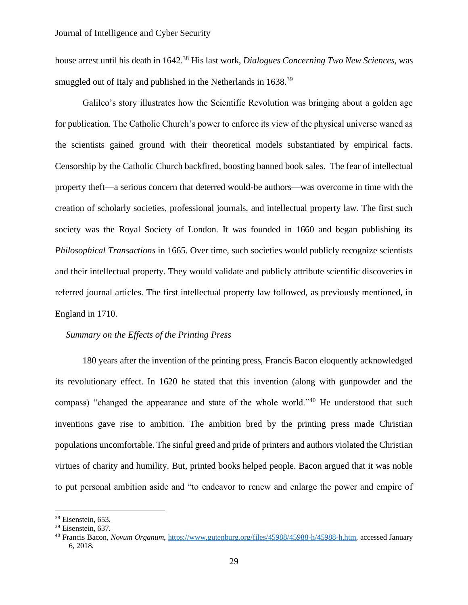house arrest until his death in 1642.<sup>38</sup> His last work, *Dialogues Concerning Two New Sciences*, was smuggled out of Italy and published in the Netherlands in 1638.<sup>39</sup>

Galileo's story illustrates how the Scientific Revolution was bringing about a golden age for publication. The Catholic Church's power to enforce its view of the physical universe waned as the scientists gained ground with their theoretical models substantiated by empirical facts. Censorship by the Catholic Church backfired, boosting banned book sales. The fear of intellectual property theft—a serious concern that deterred would-be authors—was overcome in time with the creation of scholarly societies, professional journals, and intellectual property law. The first such society was the Royal Society of London. It was founded in 1660 and began publishing its *Philosophical Transactions* in 1665. Over time, such societies would publicly recognize scientists and their intellectual property. They would validate and publicly attribute scientific discoveries in referred journal articles. The first intellectual property law followed, as previously mentioned, in England in 1710.

# *Summary on the Effects of the Printing Press*

180 years after the invention of the printing press, Francis Bacon eloquently acknowledged its revolutionary effect. In 1620 he stated that this invention (along with gunpowder and the compass) "changed the appearance and state of the whole world."<sup>40</sup> He understood that such inventions gave rise to ambition. The ambition bred by the printing press made Christian populations uncomfortable. The sinful greed and pride of printers and authors violated the Christian virtues of charity and humility. But, printed books helped people. Bacon argued that it was noble to put personal ambition aside and "to endeavor to renew and enlarge the power and empire of

<sup>38</sup> Eisenstein, 653.

<sup>39</sup> Eisenstein, 637.

<sup>40</sup> Francis Bacon, *Novum Organum*, [https://www.gutenburg.org/files/45988/45988-h/45988-h.htm,](https://www.gutenburg.org/files/45988/45988-h/45988-h.htm) accessed January 6, 2018.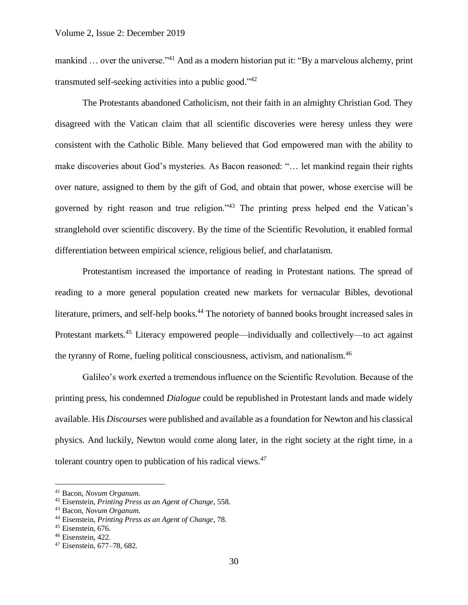mankind ... over the universe."<sup>41</sup> And as a modern historian put it: "By a marvelous alchemy, print transmuted self-seeking activities into a public good."<sup>42</sup>

The Protestants abandoned Catholicism, not their faith in an almighty Christian God. They disagreed with the Vatican claim that all scientific discoveries were heresy unless they were consistent with the Catholic Bible. Many believed that God empowered man with the ability to make discoveries about God's mysteries. As Bacon reasoned: "… let mankind regain their rights over nature, assigned to them by the gift of God, and obtain that power, whose exercise will be governed by right reason and true religion."<sup>43</sup> The printing press helped end the Vatican's stranglehold over scientific discovery. By the time of the Scientific Revolution, it enabled formal differentiation between empirical science, religious belief, and charlatanism.

Protestantism increased the importance of reading in Protestant nations. The spread of reading to a more general population created new markets for vernacular Bibles, devotional literature, primers, and self-help books.<sup>44</sup> The notoriety of banned books brought increased sales in Protestant markets.<sup>45</sup> Literacy empowered people—individually and collectively—to act against the tyranny of Rome, fueling political consciousness, activism, and nationalism.<sup>46</sup>

Galileo's work exerted a tremendous influence on the Scientific Revolution. Because of the printing press, his condemned *Dialogue* could be republished in Protestant lands and made widely available. His *Discourses* were published and available as a foundation for Newton and his classical physics. And luckily, Newton would come along later, in the right society at the right time, in a tolerant country open to publication of his radical views. $47$ 

<sup>41</sup> Bacon, *Novum Organum*.

<sup>42</sup> Eisenstein, *Printing Press as an Agent of Change*, 558.

<sup>43</sup> Bacon, *Novum Organum*.

<sup>44</sup> Eisenstein, *Printing Press as an Agent of Change*, 78.

<sup>&</sup>lt;sup>45</sup> Eisenstein, 676.

<sup>46</sup> Eisenstein, 422.

<sup>47</sup> Eisenstein, 677–78, 682.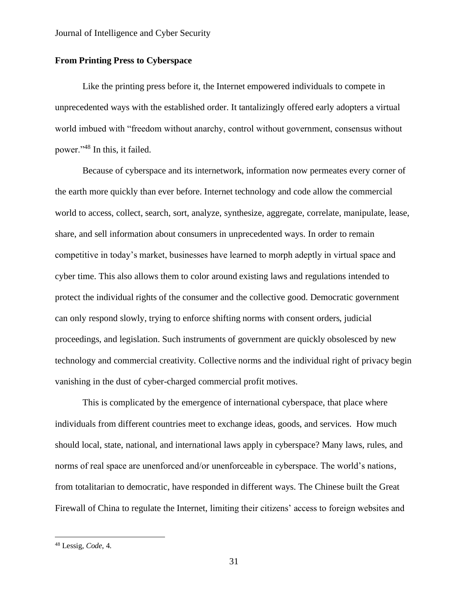# **From Printing Press to Cyberspace**

Like the printing press before it, the Internet empowered individuals to compete in unprecedented ways with the established order. It tantalizingly offered early adopters a virtual world imbued with "freedom without anarchy, control without government, consensus without power."<sup>48</sup> In this, it failed.

Because of cyberspace and its internetwork, information now permeates every corner of the earth more quickly than ever before. Internet technology and code allow the commercial world to access, collect, search, sort, analyze, synthesize, aggregate, correlate, manipulate, lease, share, and sell information about consumers in unprecedented ways. In order to remain competitive in today's market, businesses have learned to morph adeptly in virtual space and cyber time. This also allows them to color around existing laws and regulations intended to protect the individual rights of the consumer and the collective good. Democratic government can only respond slowly, trying to enforce shifting norms with consent orders, judicial proceedings, and legislation. Such instruments of government are quickly obsolesced by new technology and commercial creativity. Collective norms and the individual right of privacy begin vanishing in the dust of cyber-charged commercial profit motives.

This is complicated by the emergence of international cyberspace, that place where individuals from different countries meet to exchange ideas, goods, and services. How much should local, state, national, and international laws apply in cyberspace? Many laws, rules, and norms of real space are unenforced and/or unenforceable in cyberspace. The world's nations, from totalitarian to democratic, have responded in different ways. The Chinese built the Great Firewall of China to regulate the Internet, limiting their citizens' access to foreign websites and

<sup>48</sup> Lessig, *Code*, 4.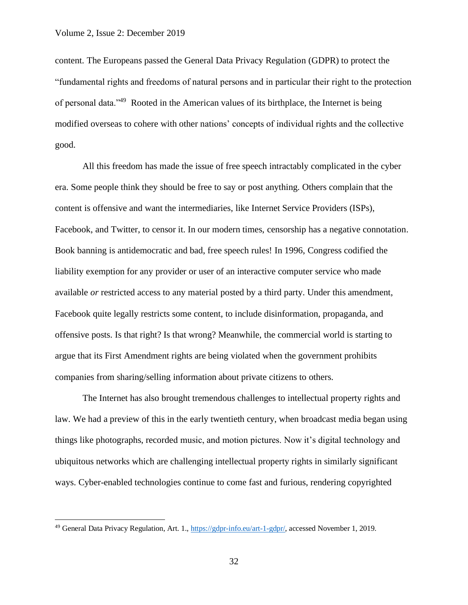content. The Europeans passed the General Data Privacy Regulation (GDPR) to protect the "fundamental rights and freedoms of natural persons and in particular their right to the protection of personal data."<sup>49</sup> Rooted in the American values of its birthplace, the Internet is being modified overseas to cohere with other nations' concepts of individual rights and the collective good.

All this freedom has made the issue of free speech intractably complicated in the cyber era. Some people think they should be free to say or post anything. Others complain that the content is offensive and want the intermediaries, like Internet Service Providers (ISPs), Facebook, and Twitter, to censor it. In our modern times, censorship has a negative connotation. Book banning is antidemocratic and bad, free speech rules! In 1996, Congress codified the liability exemption for any provider or user of an interactive computer service who made available *or* restricted access to any material posted by a third party. Under this amendment, Facebook quite legally restricts some content, to include disinformation, propaganda, and offensive posts. Is that right? Is that wrong? Meanwhile, the commercial world is starting to argue that its First Amendment rights are being violated when the government prohibits companies from sharing/selling information about private citizens to others.

The Internet has also brought tremendous challenges to intellectual property rights and law. We had a preview of this in the early twentieth century, when broadcast media began using things like photographs, recorded music, and motion pictures. Now it's digital technology and ubiquitous networks which are challenging intellectual property rights in similarly significant ways. Cyber-enabled technologies continue to come fast and furious, rendering copyrighted

<sup>49</sup> General Data Privacy Regulation, Art. 1., [https://gdpr-info.eu/art-1-gdpr/,](https://gdpr-info.eu/art-1-gdpr/) accessed November 1, 2019.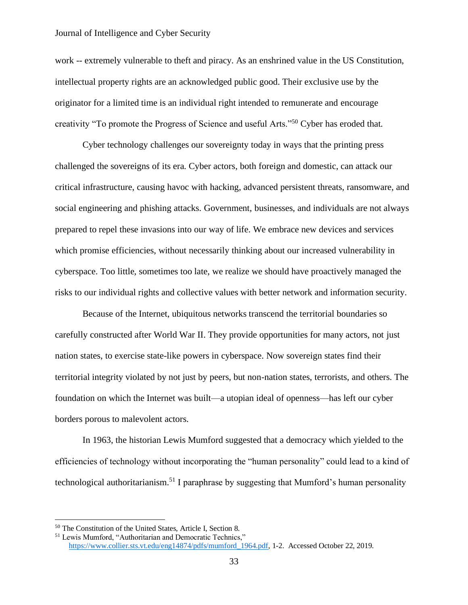work -- extremely vulnerable to theft and piracy. As an enshrined value in the US Constitution, intellectual property rights are an acknowledged public good. Their exclusive use by the originator for a limited time is an individual right intended to remunerate and encourage creativity "To promote the Progress of Science and useful Arts."<sup>50</sup> Cyber has eroded that.

Cyber technology challenges our sovereignty today in ways that the printing press challenged the sovereigns of its era. Cyber actors, both foreign and domestic, can attack our critical infrastructure, causing havoc with hacking, advanced persistent threats, ransomware, and social engineering and phishing attacks. Government, businesses, and individuals are not always prepared to repel these invasions into our way of life. We embrace new devices and services which promise efficiencies, without necessarily thinking about our increased vulnerability in cyberspace. Too little, sometimes too late, we realize we should have proactively managed the risks to our individual rights and collective values with better network and information security.

Because of the Internet, ubiquitous networks transcend the territorial boundaries so carefully constructed after World War II. They provide opportunities for many actors, not just nation states, to exercise state-like powers in cyberspace. Now sovereign states find their territorial integrity violated by not just by peers, but non-nation states, terrorists, and others. The foundation on which the Internet was built—a utopian ideal of openness—has left our cyber borders porous to malevolent actors.

In 1963, the historian Lewis Mumford suggested that a democracy which yielded to the efficiencies of technology without incorporating the "human personality" could lead to a kind of technological authoritarianism.<sup>51</sup> I paraphrase by suggesting that Mumford's human personality

<sup>50</sup> The Constitution of the United States, Article I, Section 8.

<sup>51</sup> Lewis Mumford, "Authoritarian and Democratic Technics," https://www.collier.sts.vt.edu/eng14874/pdfs/mumford 1964.pdf, 1-2. Accessed October 22, 2019.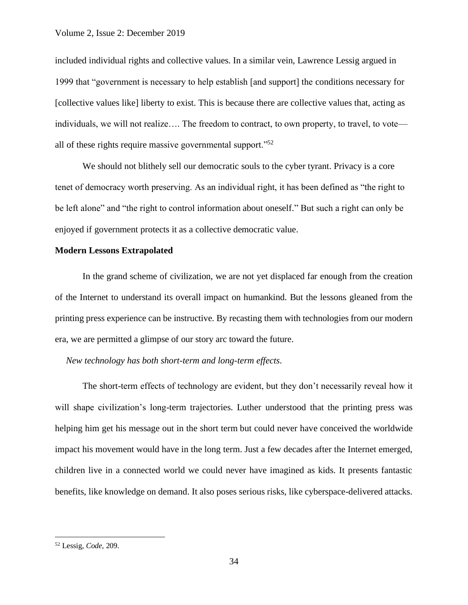#### Volume 2, Issue 2: December 2019

included individual rights and collective values. In a similar vein, Lawrence Lessig argued in 1999 that "government is necessary to help establish [and support] the conditions necessary for [collective values like] liberty to exist. This is because there are collective values that, acting as individuals, we will not realize…. The freedom to contract, to own property, to travel, to vote all of these rights require massive governmental support."<sup>52</sup>

We should not blithely sell our democratic souls to the cyber tyrant. Privacy is a core tenet of democracy worth preserving. As an individual right, it has been defined as "the right to be left alone" and "the right to control information about oneself." But such a right can only be enjoyed if government protects it as a collective democratic value.

# **Modern Lessons Extrapolated**

In the grand scheme of civilization, we are not yet displaced far enough from the creation of the Internet to understand its overall impact on humankind. But the lessons gleaned from the printing press experience can be instructive. By recasting them with technologies from our modern era, we are permitted a glimpse of our story arc toward the future.

*New technology has both short-term and long-term effects*.

The short-term effects of technology are evident, but they don't necessarily reveal how it will shape civilization's long-term trajectories. Luther understood that the printing press was helping him get his message out in the short term but could never have conceived the worldwide impact his movement would have in the long term. Just a few decades after the Internet emerged, children live in a connected world we could never have imagined as kids. It presents fantastic benefits, like knowledge on demand. It also poses serious risks, like cyberspace-delivered attacks.

<sup>52</sup> Lessig, *Code*, 209.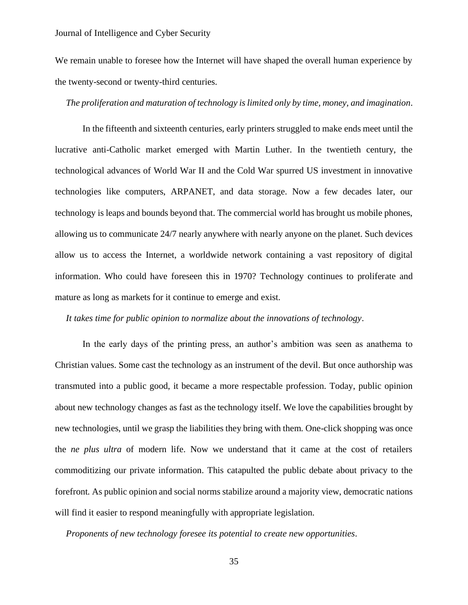We remain unable to foresee how the Internet will have shaped the overall human experience by the twenty-second or twenty-third centuries.

### *The proliferation and maturation of technology is limited only by time, money, and imagination*.

In the fifteenth and sixteenth centuries, early printers struggled to make ends meet until the lucrative anti-Catholic market emerged with Martin Luther. In the twentieth century, the technological advances of World War II and the Cold War spurred US investment in innovative technologies like computers, ARPANET, and data storage. Now a few decades later, our technology is leaps and bounds beyond that. The commercial world has brought us mobile phones, allowing us to communicate 24/7 nearly anywhere with nearly anyone on the planet. Such devices allow us to access the Internet, a worldwide network containing a vast repository of digital information. Who could have foreseen this in 1970? Technology continues to proliferate and mature as long as markets for it continue to emerge and exist.

#### *It takes time for public opinion to normalize about the innovations of technology*.

In the early days of the printing press, an author's ambition was seen as anathema to Christian values. Some cast the technology as an instrument of the devil. But once authorship was transmuted into a public good, it became a more respectable profession. Today, public opinion about new technology changes as fast as the technology itself. We love the capabilities brought by new technologies, until we grasp the liabilities they bring with them. One-click shopping was once the *ne plus ultra* of modern life. Now we understand that it came at the cost of retailers commoditizing our private information. This catapulted the public debate about privacy to the forefront. As public opinion and social norms stabilize around a majority view, democratic nations will find it easier to respond meaningfully with appropriate legislation.

*Proponents of new technology foresee its potential to create new opportunities*.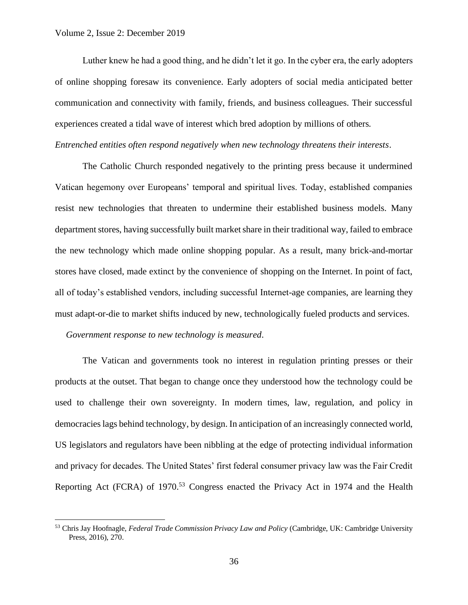Luther knew he had a good thing, and he didn't let it go. In the cyber era, the early adopters of online shopping foresaw its convenience. Early adopters of social media anticipated better communication and connectivity with family, friends, and business colleagues. Their successful experiences created a tidal wave of interest which bred adoption by millions of others. *Entrenched entities often respond negatively when new technology threatens their interests*.

The Catholic Church responded negatively to the printing press because it undermined Vatican hegemony over Europeans' temporal and spiritual lives. Today, established companies resist new technologies that threaten to undermine their established business models. Many department stores, having successfully built market share in their traditional way, failed to embrace the new technology which made online shopping popular. As a result, many brick-and-mortar stores have closed, made extinct by the convenience of shopping on the Internet. In point of fact, all of today's established vendors, including successful Internet-age companies, are learning they must adapt-or-die to market shifts induced by new, technologically fueled products and services.

*Government response to new technology is measured*.

The Vatican and governments took no interest in regulation printing presses or their products at the outset. That began to change once they understood how the technology could be used to challenge their own sovereignty. In modern times, law, regulation, and policy in democracies lags behind technology, by design. In anticipation of an increasingly connected world, US legislators and regulators have been nibbling at the edge of protecting individual information and privacy for decades. The United States' first federal consumer privacy law was the Fair Credit Reporting Act (FCRA) of 1970.<sup>53</sup> Congress enacted the Privacy Act in 1974 and the Health

<sup>53</sup> Chris Jay Hoofnagle, *Federal Trade Commission Privacy Law and Policy* (Cambridge, UK: Cambridge University Press, 2016), 270.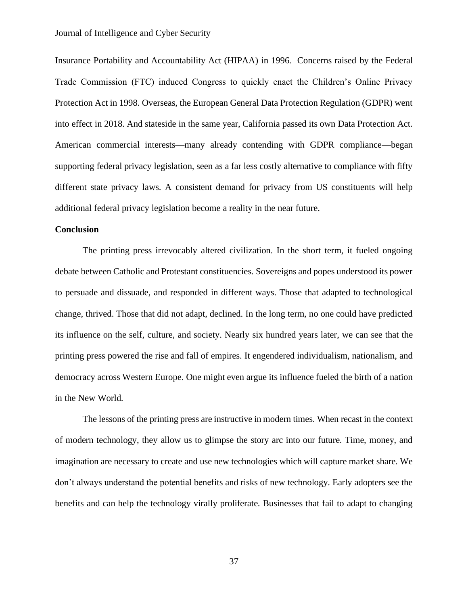Insurance Portability and Accountability Act (HIPAA) in 1996. Concerns raised by the Federal Trade Commission (FTC) induced Congress to quickly enact the Children's Online Privacy Protection Act in 1998. Overseas, the European General Data Protection Regulation (GDPR) went into effect in 2018. And stateside in the same year, California passed its own Data Protection Act. American commercial interests—many already contending with GDPR compliance—began supporting federal privacy legislation, seen as a far less costly alternative to compliance with fifty different state privacy laws. A consistent demand for privacy from US constituents will help additional federal privacy legislation become a reality in the near future.

#### **Conclusion**

The printing press irrevocably altered civilization. In the short term, it fueled ongoing debate between Catholic and Protestant constituencies. Sovereigns and popes understood its power to persuade and dissuade, and responded in different ways. Those that adapted to technological change, thrived. Those that did not adapt, declined. In the long term, no one could have predicted its influence on the self, culture, and society. Nearly six hundred years later, we can see that the printing press powered the rise and fall of empires. It engendered individualism, nationalism, and democracy across Western Europe. One might even argue its influence fueled the birth of a nation in the New World.

The lessons of the printing press are instructive in modern times. When recast in the context of modern technology, they allow us to glimpse the story arc into our future. Time, money, and imagination are necessary to create and use new technologies which will capture market share. We don't always understand the potential benefits and risks of new technology. Early adopters see the benefits and can help the technology virally proliferate. Businesses that fail to adapt to changing